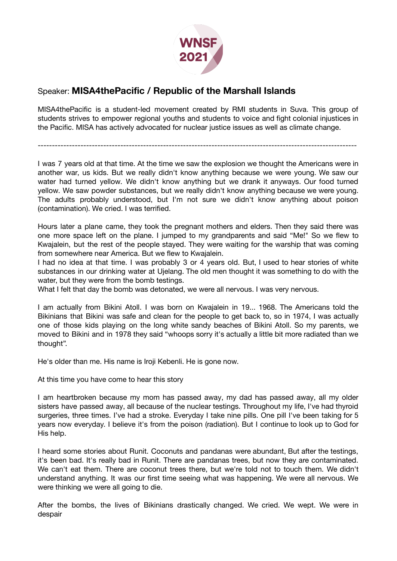

## Speaker: **MISA4thePacific / Republic of the Marshall Islands**

MISA4thePacific is a student-led movement created by RMI students in Suva. This group of students strives to empower regional youths and students to voice and fight colonial injustices in the Pacific. MISA has actively advocated for nuclear justice issues as well as climate change.

----------------------------------------------------------------------------------------------------------------

I was 7 years old at that time. At the time we saw the explosion we thought the Americans were in another war, us kids. But we really didn't know anything because we were young. We saw our water had turned yellow. We didn't know anything but we drank it anyways. Our food turned yellow. We saw powder substances, but we really didn't know anything because we were young. The adults probably understood, but I'm not sure we didn't know anything about poison (contamination). We cried. I was terrified.

Hours later a plane came, they took the pregnant mothers and elders. Then they said there was one more space left on the plane. I jumped to my grandparents and said "Me!" So we flew to Kwajalein, but the rest of the people stayed. They were waiting for the warship that was coming from somewhere near America. But we flew to Kwajalein.

I had no idea at that time. I was probably 3 or 4 years old. But, I used to hear stories of white substances in our drinking water at Ujelang. The old men thought it was something to do with the water, but they were from the bomb testings.

What I felt that day the bomb was detonated, we were all nervous. I was very nervous.

I am actually from Bikini Atoll. I was born on Kwajalein in 19... 1968. The Americans told the Bikinians that Bikini was safe and clean for the people to get back to, so in 1974, I was actually one of those kids playing on the long white sandy beaches of Bikini Atoll. So my parents, we moved to Bikini and in 1978 they said "whoops sorry it's actually a little bit more radiated than we thought".

He's older than me. His name is Iroji Kebenli. He is gone now.

At this time you have come to hear this story

I am heartbroken because my mom has passed away, my dad has passed away, all my older sisters have passed away, all because of the nuclear testings. Throughout my life, I've had thyroid surgeries, three times. I've had a stroke. Everyday I take nine pills. One pill I've been taking for 5 years now everyday. I believe it's from the poison (radiation). But I continue to look up to God for His help.

I heard some stories about Runit. Coconuts and pandanas were abundant, But after the testings, it's been bad. It's really bad in Runit. There are pandanas trees, but now they are contaminated. We can't eat them. There are coconut trees there, but we're told not to touch them. We didn't understand anything. It was our first time seeing what was happening. We were all nervous. We were thinking we were all going to die.

After the bombs, the lives of Bikinians drastically changed. We cried. We wept. We were in despair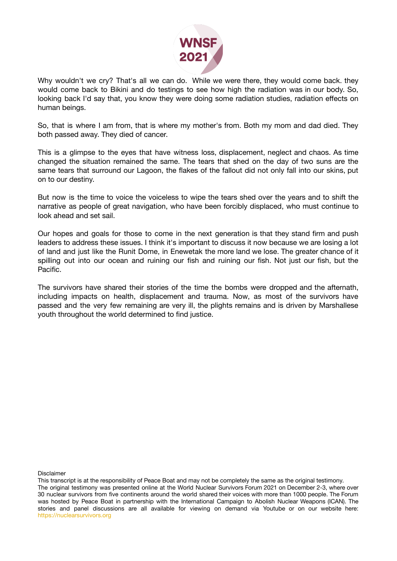

Why wouldn't we cry? That's all we can do. While we were there, they would come back. they would come back to Bikini and do testings to see how high the radiation was in our body. So, looking back I'd say that, you know they were doing some radiation studies, radiation effects on human beings.

So, that is where I am from, that is where my mother's from. Both my mom and dad died. They both passed away. They died of cancer.

This is a glimpse to the eyes that have witness loss, displacement, neglect and chaos. As time changed the situation remained the same. The tears that shed on the day of two suns are the same tears that surround our Lagoon, the flakes of the fallout did not only fall into our skins, put on to our destiny.

But now is the time to voice the voiceless to wipe the tears shed over the years and to shift the narrative as people of great navigation, who have been forcibly displaced, who must continue to look ahead and set sail.

Our hopes and goals for those to come in the next generation is that they stand firm and push leaders to address these issues. I think it's important to discuss it now because we are losing a lot of land and just like the Runit Dome, in Enewetak the more land we lose. The greater chance of it spilling out into our ocean and ruining our fish and ruining our fish. Not just our fish, but the Pacific.

The survivors have shared their stories of the time the bombs were dropped and the afternath, including impacts on health, displacement and trauma. Now, as most of the survivors have passed and the very few remaining are very ill, the plights remains and is driven by Marshallese youth throughout the world determined to find justice.

Disclaimer

This transcript is at the responsibility of Peace Boat and may not be completely the same as the original testimony. The original testimony was presented online at the World Nuclear Survivors Forum 2021 on December 2-3, where over 30 nuclear survivors from five continents around the world shared their voices with more than 1000 people. The Forum was hosted by Peace Boat in partnership with the International Campaign to Abolish Nuclear Weapons (ICAN). The stories and panel discussions are all available for viewing on demand via Youtube or on our website here: [https://nuclearsurvivors.org](https://nuclearsurvivors.org/)